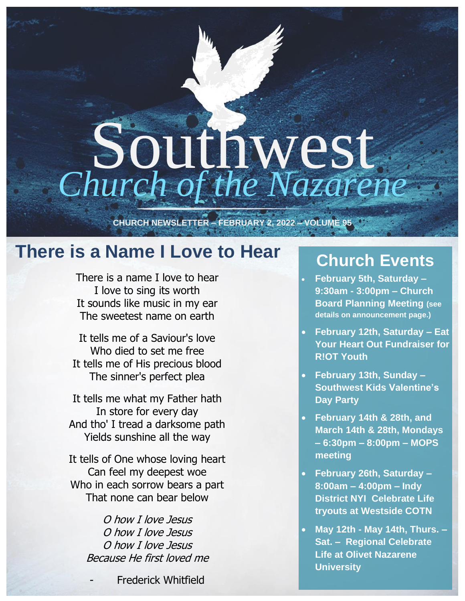# Southwest *Church of the Nazarene*

**CHURCH NEWSLETTER – FEBRUARY 2, 2022 – VOLUME 95**

### **There is a Name I Love to Hear**

There is a name I love to hear I love to sing its worth It sounds like music in my ear The sweetest name on earth

It tells me of a Saviour's love Who died to set me free It tells me of His precious blood The sinner's perfect plea

It tells me what my Father hath In store for every day And tho' I tread a darksome path Yields sunshine all the way

It tells of One whose loving heart Can feel my deepest woe Who in each sorrow bears a part That none can bear below

> O how I love Jesus O how I love Jesus O how I love Jesus Because He first loved me

> > **Frederick Whitfield**

### **Church Events**

- **February 5th, Saturday – 9:30am - 3:00pm – Church Board Planning Meeting (see details on announcement page.)**
- **February 12th, Saturday – Eat Your Heart Out Fundraiser for R!OT Youth**
- **February 13th, Sunday – Southwest Kids Valentine's Day Party**
- **February 14th & 28th, and March 14th & 28th, Mondays – 6:30pm – 8:00pm – MOPS meeting**
- **February 26th, Saturday 8:00am – 4:00pm – Indy District NYI Celebrate Life tryouts at Westside COTN**
- **May 12th - May 14th, Thurs. – Sat. – Regional Celebrate Life at Olivet Nazarene University**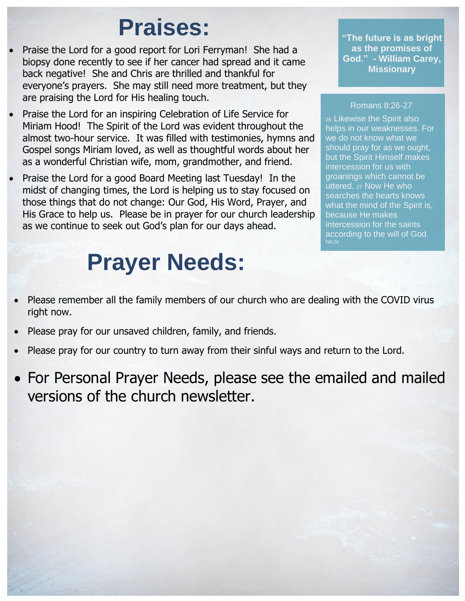# **Praises:**

- Praise the Lord for a good report for Lori Ferryman! She had a biopsy done recently to see if her cancer had spread and it came back negative! She and Chris are thrilled and thankful for everyone's prayers. She may still need more treatment, but they are praising the Lord for His healing touch.
- Praise the Lord for an inspiring Celebration of Life Service for Miriam Hood! The Spirit of the Lord was evident throughout the almost two-hour service. It was filled with testimonies, hymns and Gospel songs Miriam loved, as well as thoughtful words about her as a wonderful Christian wife, mom, grandmother, and friend.
- Praise the Lord for a good Board Meeting last Tuesday! In the midst of changing times, the Lord is helping us to stay focused on those things that do not change: Our God, His Word, Prayer, and His Grace to help us. Please be in prayer for our church leadership as we continue to seek out God's plan for our days ahead.

# **Prayer Needs:**

**"The future is as bright as the promises of God." - William Carey, Missionary**

#### Romans 8:26-27

<sup>26</sup> Likewise the Spirit also helps in our weaknesses. For we do not know what we should pray for as we ought, but the Spirit Himself makes intercession for us with groanings which cannot be uttered. <sup>27</sup> Now He who searches the hearts knows what the mind of the Spirit is, because He makes intercession for the saints according to the will of God. **NKJV** 

- Please remember all the family members of our church who are dealing with the COVID virus right now.
- Please pray for our unsaved children, family, and friends.
- Please pray for our country to turn away from their sinful ways and return to the Lord.
- For Personal Prayer Needs, please see the emailed and mailed versions of the church newsletter.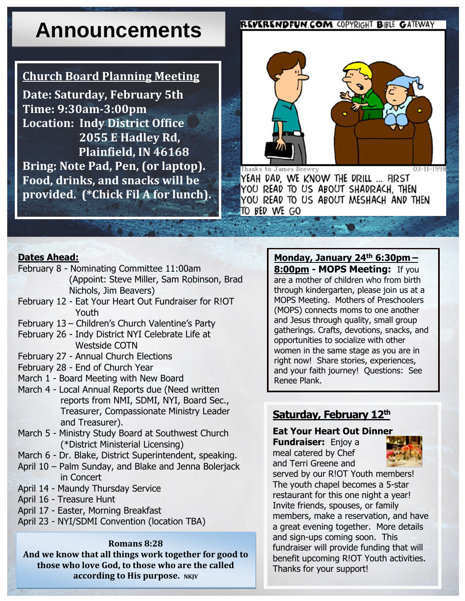# **Announcements**

#### **Church Board Planning Meeting**

**Date: Saturday, February 5th Time: 9:30am-3:00pm Location: Indy District Office 2055 E Hadley Rd, Plainfield, IN 46168 Bring: Note Pad, Pen, (or laptop). Food, drinks, and snacks will be provided. (\*Chick Fil A for lunch).** 

#### **REVERENDFUN.COM COPYRIGHT BIBLE GATEWAY**



Thanks to James Drew

YEAH DAD, WE KNOW THE DRILL ... FIRST YOU READ TO US ABOUT SHADRACH. THEN YOU READ TO US ABOUT MESHACH AND THEN TO BED WE GO

#### **Dates Ahead:**

- February 8 Nominating Committee 11:00am (Appoint: Steve Miller, Sam Robinson, Brad Nichols, Jim Beavers)
- February 12 Eat Your Heart Out Fundraiser for R!OT Youth
- February 13 Children's Church Valentine's Party
- February 26 Indy District NYI Celebrate Life at Westside COTN
- February 27 Annual Church Elections
- February 28 End of Church Year
- March 1 Board Meeting with New Board
- March 4 Local Annual Reports due (Need written reports from NMI, SDMI, NYI, Board Sec., Treasurer, Compassionate Ministry Leader and Treasurer).
- March 5 Ministry Study Board at Southwest Church (\*District Ministerial Licensing)
- March 6 Dr. Blake, District Superintendent, speaking.
- April 10 Palm Sunday, and Blake and Jenna Bolerjack in Concert
- April 14 Maundy Thursday Service
- April 16 Treasure Hunt
- April 17 Easter, Morning Breakfast
- April 23 NYI/SDMI Convention (location TBA)

#### **Romans 8:28**

**And we know that all things work together for good to those who love God, to those who are the called according to His purpose.** NKJV

**Monday, January 24th 6:30pm – 8:00pm - MOPS Meeting:** If you are a mother of children who from birth through kindergarten, please join us at a MOPS Meeting. Mothers of Preschoolers (MOPS) connects moms to one another and Jesus through quality, small group gatherings. Crafts, devotions, snacks, and opportunities to socialize with other women in the same stage as you are in right now! Share stories, experiences, and your faith journey! Questions: See Renee Plank.

#### **Saturday, February 12th**

#### **Eat Your Heart Out Dinner**

**Fundraiser:** Enjoy a meal catered by Chef and Terri Greene and



served by our R!OT Youth members! The youth chapel becomes a 5-star restaurant for this one night a year! Invite friends, spouses, or family members, make a reservation, and have a great evening together. More details and sign-ups coming soon. This fundraiser will provide funding that will benefit upcoming R!OT Youth activities. Thanks for your support!